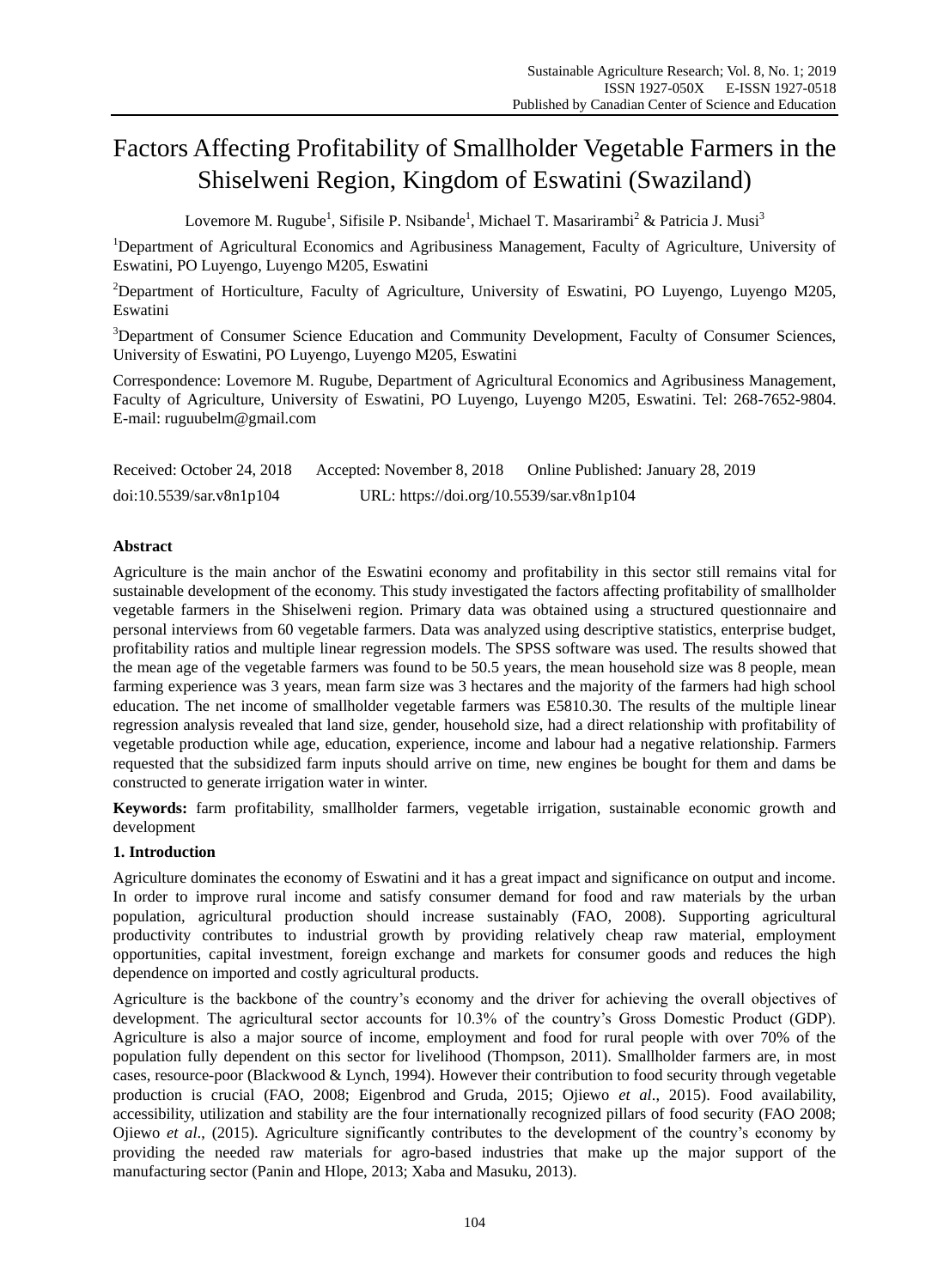# Factors Affecting Profitability of Smallholder Vegetable Farmers in the Shiselweni Region, Kingdom of Eswatini (Swaziland)

Lovemore M. Rugube<sup>1</sup>, Sifisile P. Nsibande<sup>1</sup>, Michael T. Masarirambi<sup>2</sup> & Patricia J. Musi<sup>3</sup>

<sup>1</sup>Department of Agricultural Economics and Agribusiness Management, Faculty of Agriculture, University of Eswatini, PO Luyengo, Luyengo M205, Eswatini

<sup>2</sup>Department of Horticulture, Faculty of Agriculture, University of Eswatini, PO Luyengo, Luyengo M205, Eswatini

<sup>3</sup>Department of Consumer Science Education and Community Development, Faculty of Consumer Sciences, University of Eswatini, PO Luyengo, Luyengo M205, Eswatini

Correspondence: Lovemore M. Rugube, Department of Agricultural Economics and Agribusiness Management, Faculty of Agriculture, University of Eswatini, PO Luyengo, Luyengo M205, Eswatini. Tel: 268-7652-9804. E-mail: ruguubelm@gmail.com

| Received: October 24, 2018 | Accepted: November 8, 2018                | Online Published: January 28, 2019 |
|----------------------------|-------------------------------------------|------------------------------------|
| doi:10.5539/sar.v8n1p104   | URL: https://doi.org/10.5539/sar.v8n1p104 |                                    |

# **Abstract**

Agriculture is the main anchor of the Eswatini economy and profitability in this sector still remains vital for sustainable development of the economy. This study investigated the factors affecting profitability of smallholder vegetable farmers in the Shiselweni region. Primary data was obtained using a structured questionnaire and personal interviews from 60 vegetable farmers. Data was analyzed using descriptive statistics, enterprise budget, profitability ratios and multiple linear regression models. The SPSS software was used. The results showed that the mean age of the vegetable farmers was found to be 50.5 years, the mean household size was 8 people, mean farming experience was 3 years, mean farm size was 3 hectares and the majority of the farmers had high school education. The net income of smallholder vegetable farmers was E5810.30. The results of the multiple linear regression analysis revealed that land size, gender, household size, had a direct relationship with profitability of vegetable production while age, education, experience, income and labour had a negative relationship. Farmers requested that the subsidized farm inputs should arrive on time, new engines be bought for them and dams be constructed to generate irrigation water in winter.

**Keywords:** farm profitability, smallholder farmers, vegetable irrigation, sustainable economic growth and development

# **1. Introduction**

Agriculture dominates the economy of Eswatini and it has a great impact and significance on output and income. In order to improve rural income and satisfy consumer demand for food and raw materials by the urban population, agricultural production should increase sustainably (FAO, 2008). Supporting agricultural productivity contributes to industrial growth by providing relatively cheap raw material, employment opportunities, capital investment, foreign exchange and markets for consumer goods and reduces the high dependence on imported and costly agricultural products.

Agriculture is the backbone of the country's economy and the driver for achieving the overall objectives of development. The agricultural sector accounts for 10.3% of the country's Gross Domestic Product (GDP). Agriculture is also a major source of income, employment and food for rural people with over 70% of the population fully dependent on this sector for livelihood (Thompson, 2011). Smallholder farmers are, in most cases, resource-poor (Blackwood & Lynch, 1994). However their contribution to food security through vegetable production is crucial (FAO, 2008; Eigenbrod and Gruda, 2015; Ojiewo *et al*., 2015). Food availability, accessibility, utilization and stability are the four internationally recognized pillars of food security (FAO 2008; Ojiewo *et al*., (2015). Agriculture significantly contributes to the development of the country's economy by providing the needed raw materials for agro-based industries that make up the major support of the manufacturing sector (Panin and Hlope, 2013; Xaba and Masuku, 2013).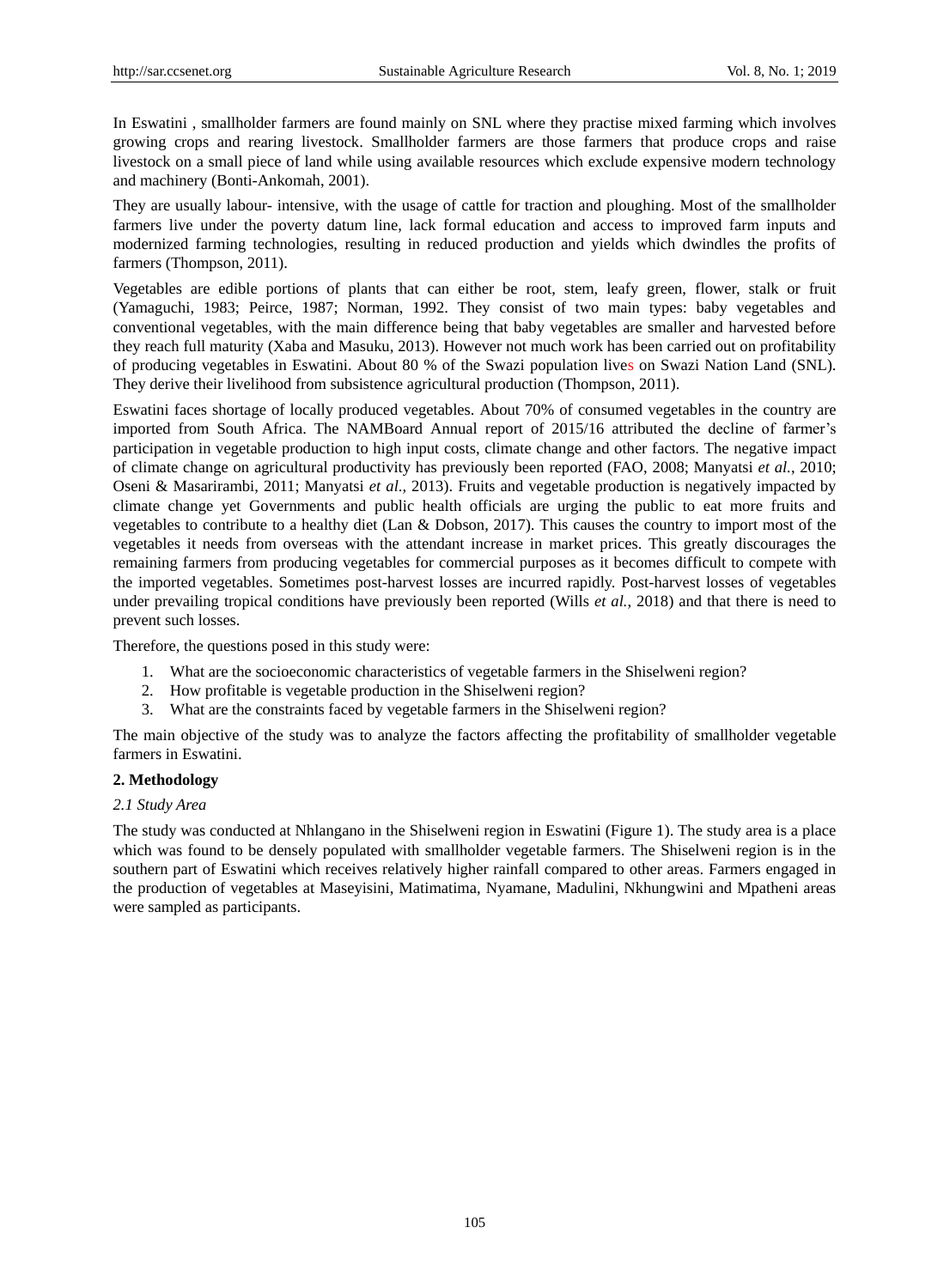In Eswatini , smallholder farmers are found mainly on SNL where they practise mixed farming which involves growing crops and rearing livestock. Smallholder farmers are those farmers that produce crops and raise livestock on a small piece of land while using available resources which exclude expensive modern technology and machinery (Bonti-Ankomah, 2001).

They are usually labour- intensive, with the usage of cattle for traction and ploughing. Most of the smallholder farmers live under the poverty datum line, lack formal education and access to improved farm inputs and modernized farming technologies, resulting in reduced production and yields which dwindles the profits of farmers (Thompson, 2011).

Vegetables are edible portions of plants that can either be root, stem, leafy green, flower, stalk or fruit (Yamaguchi, 1983; Peirce, 1987; Norman, 1992. They consist of two main types: baby vegetables and conventional vegetables, with the main difference being that baby vegetables are smaller and harvested before they reach full maturity (Xaba and Masuku, 2013). However not much work has been carried out on profitability of producing vegetables in Eswatini. About 80 % of the Swazi population lives on Swazi Nation Land (SNL). They derive their livelihood from subsistence agricultural production (Thompson, 2011).

Eswatini faces shortage of locally produced vegetables. About 70% of consumed vegetables in the country are imported from South Africa. The NAMBoard Annual report of 2015/16 attributed the decline of farmer's participation in vegetable production to high input costs, climate change and other factors. The negative impact of climate change on agricultural productivity has previously been reported (FAO, 2008; Manyatsi *et al.*, 2010; Oseni & Masarirambi, 2011; Manyatsi *et al*., 2013). Fruits and vegetable production is negatively impacted by climate change yet Governments and public health officials are urging the public to eat more fruits and vegetables to contribute to a healthy diet (Lan & Dobson, 2017). This causes the country to import most of the vegetables it needs from overseas with the attendant increase in market prices. This greatly discourages the remaining farmers from producing vegetables for commercial purposes as it becomes difficult to compete with the imported vegetables. Sometimes post-harvest losses are incurred rapidly. Post-harvest losses of vegetables under prevailing tropical conditions have previously been reported (Wills *et al.*, 2018) and that there is need to prevent such losses.

Therefore, the questions posed in this study were:

- 1. What are the socioeconomic characteristics of vegetable farmers in the Shiselweni region?
- 2. How profitable is vegetable production in the Shiselweni region?
- 3. What are the constraints faced by vegetable farmers in the Shiselweni region?

The main objective of the study was to analyze the factors affecting the profitability of smallholder vegetable farmers in Eswatini.

# **2. Methodology**

# *2.1 Study Area*

The study was conducted at Nhlangano in the Shiselweni region in Eswatini (Figure 1). The study area is a place which was found to be densely populated with smallholder vegetable farmers. The Shiselweni region is in the southern part of Eswatini which receives relatively higher rainfall compared to other areas. Farmers engaged in the production of vegetables at Maseyisini, Matimatima, Nyamane, Madulini, Nkhungwini and Mpatheni areas were sampled as participants.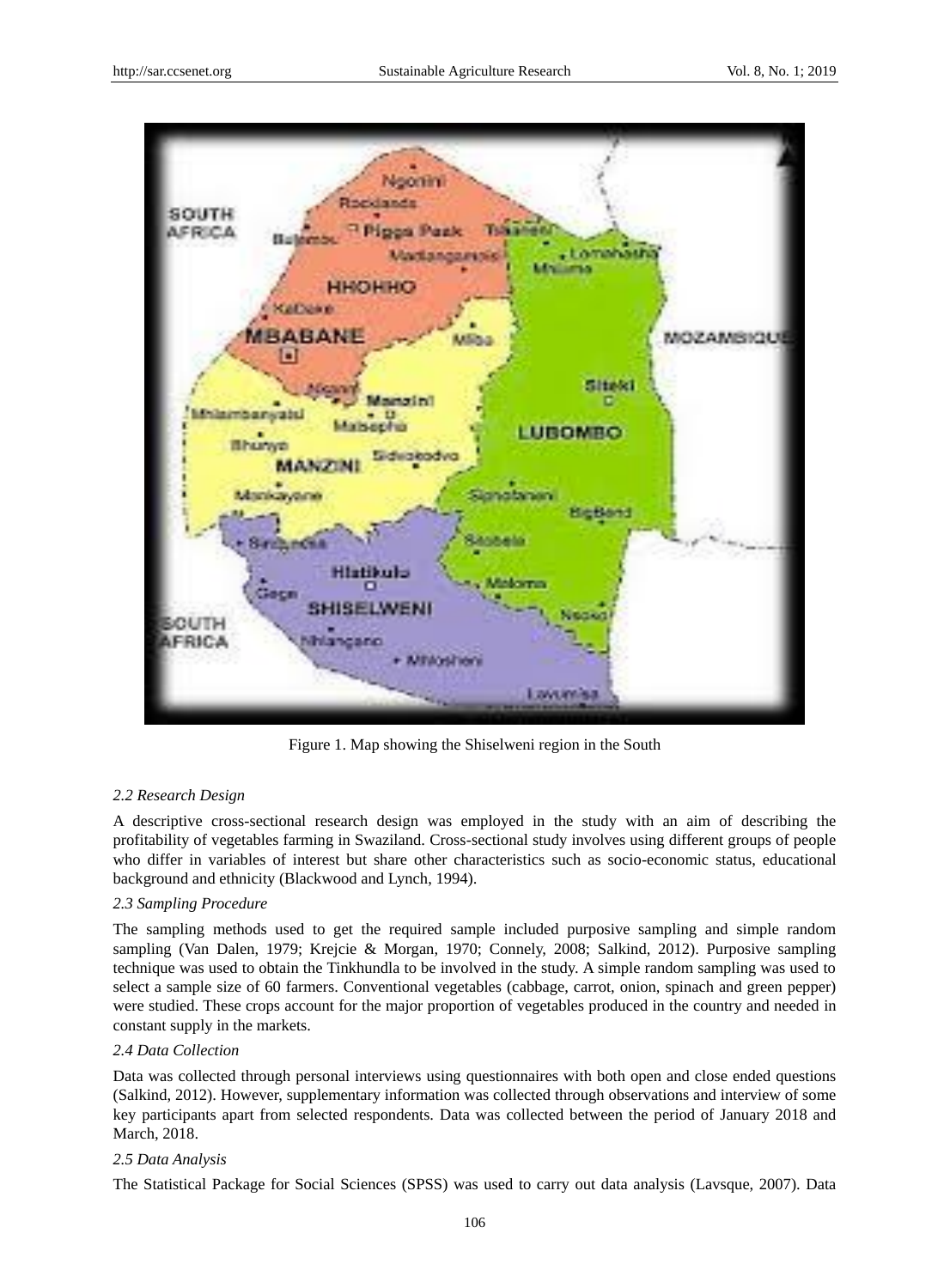

Figure 1. Map showing the Shiselweni region in the South

# *2.2 Research Design*

A descriptive cross-sectional research design was employed in the study with an aim of describing the profitability of vegetables farming in Swaziland. Cross-sectional study involves using different groups of people who differ in variables of interest but share other characteristics such as socio-economic status, educational background and ethnicity (Blackwood and Lynch, 1994).

# *2.3 Sampling Procedure*

The sampling methods used to get the required sample included purposive sampling and simple random sampling (Van Dalen, 1979; Krejcie & Morgan, 1970; Connely, 2008; Salkind, 2012). Purposive sampling technique was used to obtain the Tinkhundla to be involved in the study. A simple random sampling was used to select a sample size of 60 farmers. Conventional vegetables (cabbage, carrot, onion, spinach and green pepper) were studied. These crops account for the major proportion of vegetables produced in the country and needed in constant supply in the markets.

# *2.4 Data Collection*

Data was collected through personal interviews using questionnaires with both open and close ended questions (Salkind, 2012). However, supplementary information was collected through observations and interview of some key participants apart from selected respondents. Data was collected between the period of January 2018 and March, 2018.

# *2.5 Data Analysis*

The Statistical Package for Social Sciences (SPSS) was used to carry out data analysis (Lavsque, 2007). Data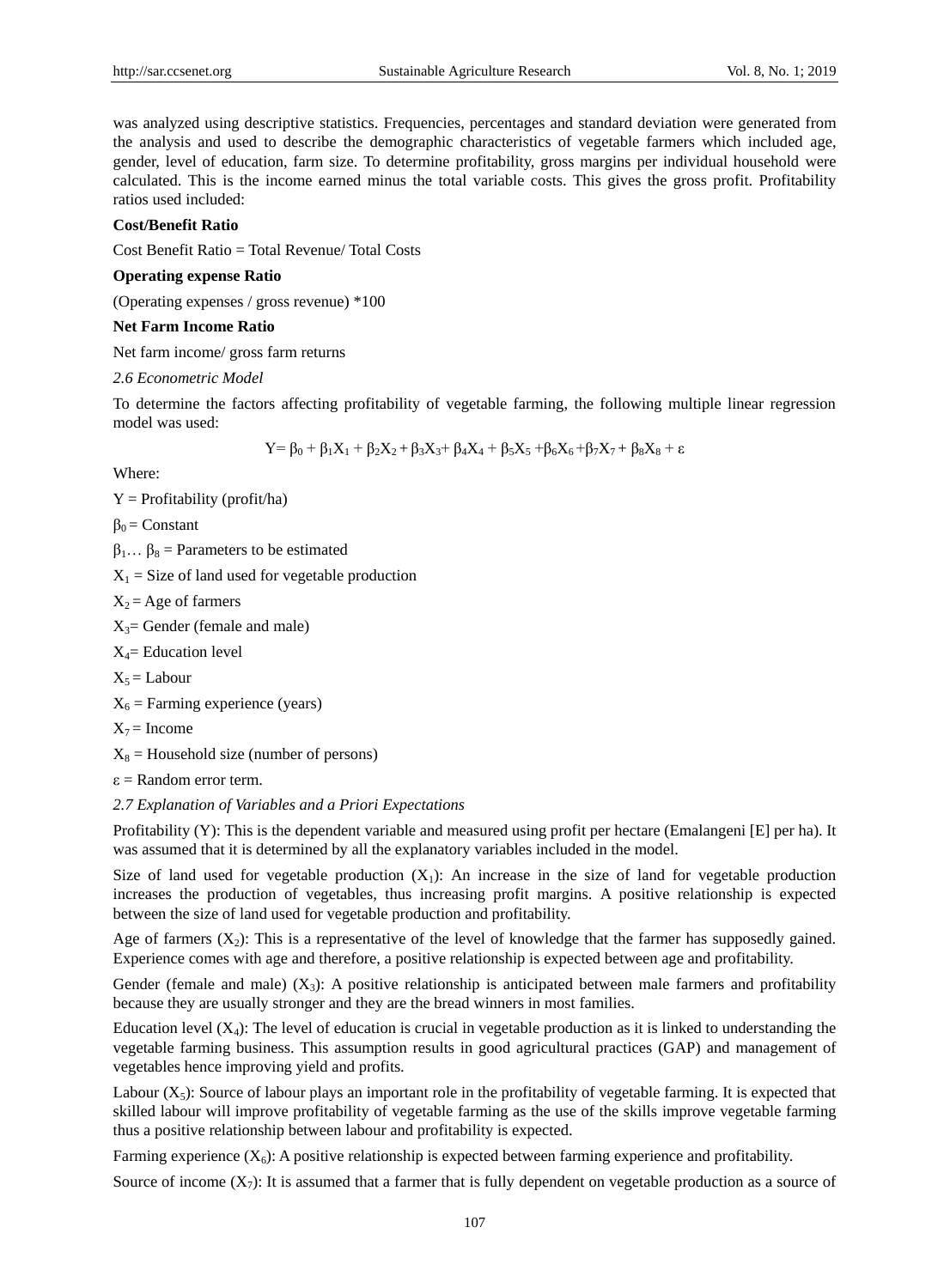was analyzed using descriptive statistics. Frequencies, percentages and standard deviation were generated from the analysis and used to describe the demographic characteristics of vegetable farmers which included age, gender, level of education, farm size. To determine profitability, gross margins per individual household were calculated. This is the income earned minus the total variable costs. This gives the gross profit. Profitability ratios used included:

#### **Cost/Benefit Ratio**

Cost Benefit Ratio = Total Revenue/ Total Costs

#### **Operating expense Ratio**

(Operating expenses / gross revenue) \*100

#### **Net Farm Income Ratio**

Net farm income/ gross farm returns

#### *2.6 Econometric Model*

To determine the factors affecting profitability of vegetable farming, the following multiple linear regression model was used:

$$
Y = \beta_0 + \beta_1 X_1 + \beta_2 X_2 + \beta_3 X_3 + \beta_4 X_4 + \beta_5 X_5 + \beta_6 X_6 + \beta_7 X_7 + \beta_8 X_8 + \epsilon
$$

Where:

 $Y =$  Profitability (profit/ha)

 $β<sub>0</sub> = Constant$ 

 $\beta_1 \dots \beta_8$  = Parameters to be estimated

 $X_1$  = Size of land used for vegetable production

 $X_2$  = Age of farmers

 $X_3$ = Gender (female and male)

 $X_4$ = Education level

 $X_5 =$  Labour

 $X_6$  = Farming experience (years)

 $X_7$  = Income

 $X_8$  = Household size (number of persons)

 $\varepsilon$  = Random error term.

*2.7 Explanation of Variables and a Priori Expectations*

Profitability (Y): This is the dependent variable and measured using profit per hectare (Emalangeni [E] per ha). It was assumed that it is determined by all the explanatory variables included in the model.

Size of land used for vegetable production  $(X_1)$ : An increase in the size of land for vegetable production increases the production of vegetables, thus increasing profit margins. A positive relationship is expected between the size of land used for vegetable production and profitability.

Age of farmers  $(X_2)$ : This is a representative of the level of knowledge that the farmer has supposedly gained. Experience comes with age and therefore, a positive relationship is expected between age and profitability.

Gender (female and male)  $(X_3)$ : A positive relationship is anticipated between male farmers and profitability because they are usually stronger and they are the bread winners in most families.

Education level  $(X_4)$ : The level of education is crucial in vegetable production as it is linked to understanding the vegetable farming business. This assumption results in good agricultural practices (GAP) and management of vegetables hence improving yield and profits.

Labour  $(X_5)$ : Source of labour plays an important role in the profitability of vegetable farming. It is expected that skilled labour will improve profitability of vegetable farming as the use of the skills improve vegetable farming thus a positive relationship between labour and profitability is expected.

Farming experience  $(X_6)$ : A positive relationship is expected between farming experience and profitability.

Source of income  $(X_7)$ : It is assumed that a farmer that is fully dependent on vegetable production as a source of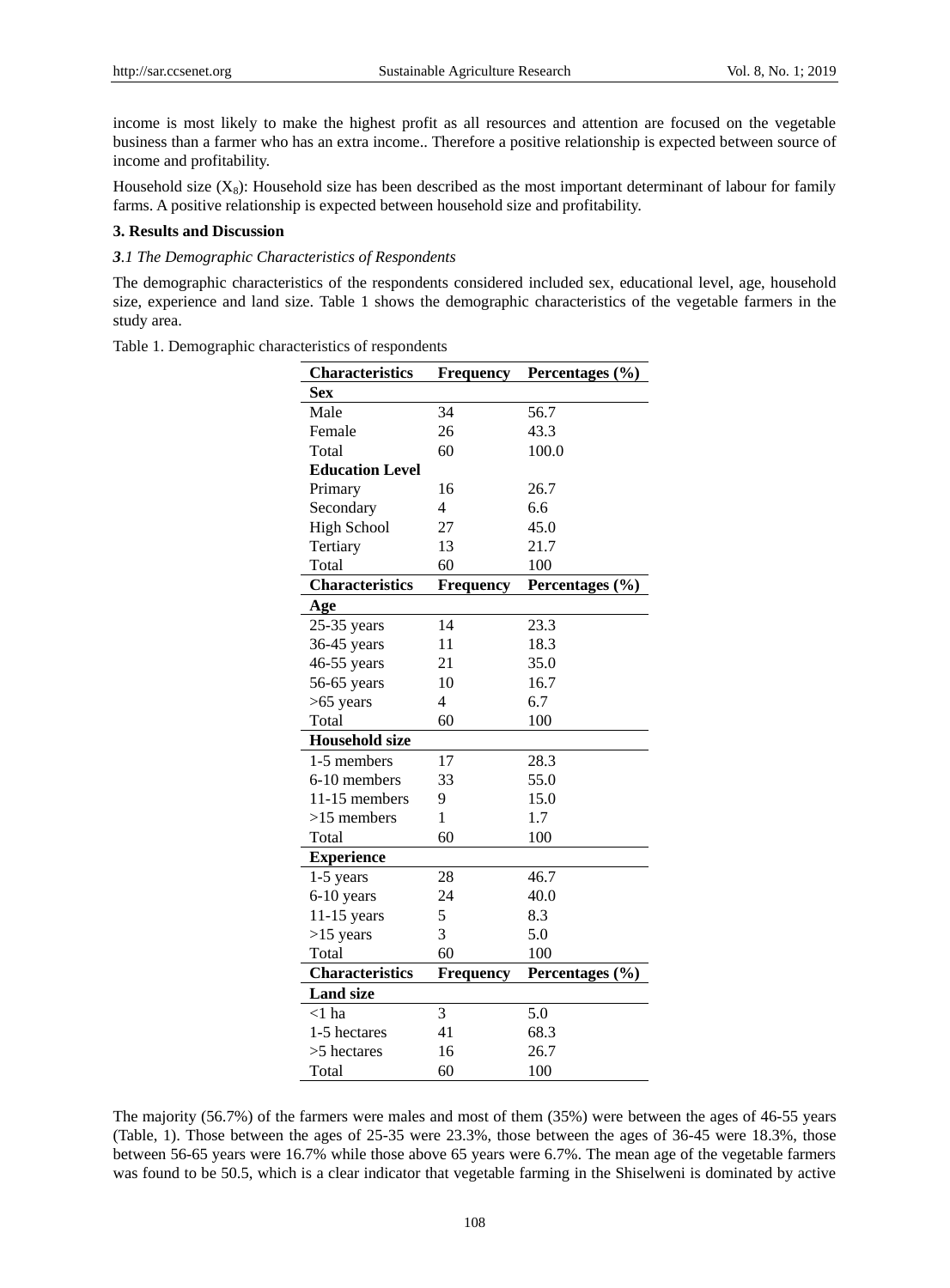income is most likely to make the highest profit as all resources and attention are focused on the vegetable business than a farmer who has an extra income.. Therefore a positive relationship is expected between source of income and profitability.

Household size  $(X_8)$ : Household size has been described as the most important determinant of labour for family farms. A positive relationship is expected between household size and profitability.

#### **3. Results and Discussion**

#### *3.1 The Demographic Characteristics of Respondents*

The demographic characteristics of the respondents considered included sex, educational level, age, household size, experience and land size. Table 1 shows the demographic characteristics of the vegetable farmers in the study area.

Table 1. Demographic characteristics of respondents

| <b>Characteristics</b> | Frequency | Percentages (%) |  |
|------------------------|-----------|-----------------|--|
| <b>Sex</b>             |           |                 |  |
| Male                   | 34        | 56.7            |  |
| Female                 | 26        | 43.3            |  |
| Total                  | 60        | 100.0           |  |
| <b>Education Level</b> |           |                 |  |
| Primary                | 16        | 26.7            |  |
| Secondary              | 4         | 6.6             |  |
| <b>High School</b>     | 27        | 45.0            |  |
| Tertiary               | 13        | 21.7            |  |
| Total                  | 60        | 100             |  |
| <b>Characteristics</b> | Frequency | Percentages (%) |  |
| Age                    |           |                 |  |
| 25-35 years            | 14        | 23.3            |  |
| 36-45 years            | 11        | 18.3            |  |
| 46-55 years            | 21        | 35.0            |  |
| 56-65 years            | 10        | 16.7            |  |
| $>65$ years            | 4         | 6.7             |  |
| Total                  | 60        | 100             |  |
| <b>Household size</b>  |           |                 |  |
| 1-5 members            | 17        | 28.3            |  |
| 6-10 members           | 33        | 55.0            |  |
| 11-15 members          | 9         | 15.0            |  |
| $>15$ members          | 1         | 1.7             |  |
| Total                  | 60        | 100             |  |
| <b>Experience</b>      |           |                 |  |
| 1-5 years              | 28        | 46.7            |  |
| 6-10 years             | 24        | 40.0            |  |
| 11-15 years            | 5         | 8.3             |  |
| $>15$ years            | 3         | 5.0             |  |
| Total                  | 60        | 100             |  |
| <b>Characteristics</b> | Frequency | Percentages (%) |  |
| <b>Land size</b>       |           |                 |  |
| $<$ 1 ha               | 3         | 5.0             |  |
| 1-5 hectares           | 41        | 68.3            |  |
| >5 hectares            | 16        | 26.7            |  |
| Total                  | 60        | 100             |  |

The majority (56.7%) of the farmers were males and most of them (35%) were between the ages of 46-55 years (Table, 1). Those between the ages of 25-35 were 23.3%, those between the ages of 36-45 were 18.3%, those between 56-65 years were 16.7% while those above 65 years were 6.7%. The mean age of the vegetable farmers was found to be 50.5, which is a clear indicator that vegetable farming in the Shiselweni is dominated by active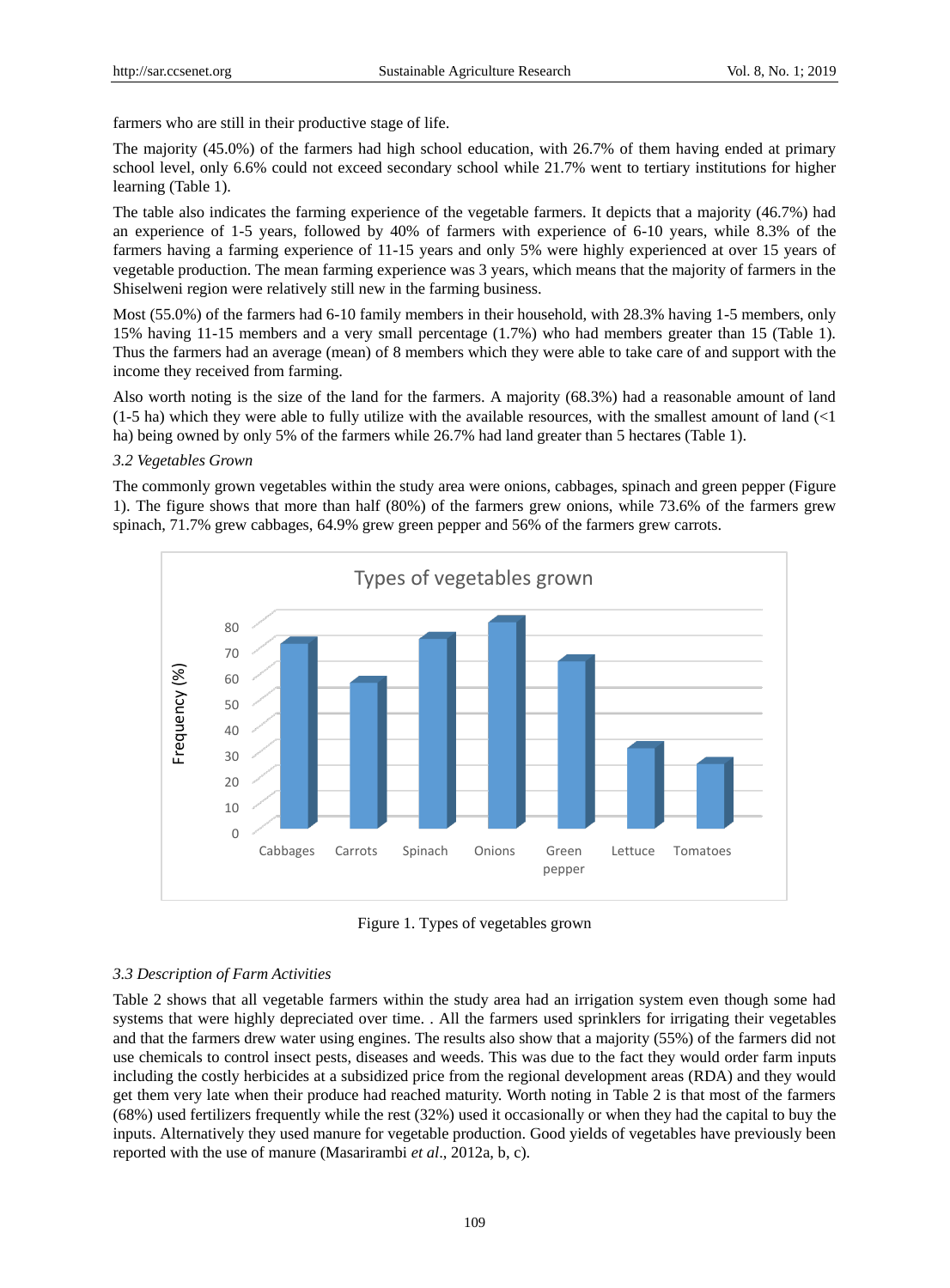farmers who are still in their productive stage of life.

The majority (45.0%) of the farmers had high school education, with 26.7% of them having ended at primary school level, only 6.6% could not exceed secondary school while 21.7% went to tertiary institutions for higher learning (Table 1).

The table also indicates the farming experience of the vegetable farmers. It depicts that a majority (46.7%) had an experience of 1-5 years, followed by 40% of farmers with experience of 6-10 years, while 8.3% of the farmers having a farming experience of 11-15 years and only 5% were highly experienced at over 15 years of vegetable production. The mean farming experience was 3 years, which means that the majority of farmers in the Shiselweni region were relatively still new in the farming business.

Most (55.0%) of the farmers had 6-10 family members in their household, with 28.3% having 1-5 members, only 15% having 11-15 members and a very small percentage (1.7%) who had members greater than 15 (Table 1). Thus the farmers had an average (mean) of 8 members which they were able to take care of and support with the income they received from farming.

Also worth noting is the size of the land for the farmers. A majority (68.3%) had a reasonable amount of land  $(1-5$  ha) which they were able to fully utilize with the available resources, with the smallest amount of land  $\langle$ 1 ha) being owned by only 5% of the farmers while 26.7% had land greater than 5 hectares (Table 1).

# *3.2 Vegetables Grown*

The commonly grown vegetables within the study area were onions, cabbages, spinach and green pepper (Figure 1). The figure shows that more than half (80%) of the farmers grew onions, while 73.6% of the farmers grew spinach, 71.7% grew cabbages, 64.9% grew green pepper and 56% of the farmers grew carrots.



Figure 1. Types of vegetables grown

# *3.3 Description of Farm Activities*

Table 2 shows that all vegetable farmers within the study area had an irrigation system even though some had systems that were highly depreciated over time. . All the farmers used sprinklers for irrigating their vegetables and that the farmers drew water using engines. The results also show that a majority (55%) of the farmers did not use chemicals to control insect pests, diseases and weeds. This was due to the fact they would order farm inputs including the costly herbicides at a subsidized price from the regional development areas (RDA) and they would get them very late when their produce had reached maturity. Worth noting in Table 2 is that most of the farmers (68%) used fertilizers frequently while the rest (32%) used it occasionally or when they had the capital to buy the inputs. Alternatively they used manure for vegetable production. Good yields of vegetables have previously been reported with the use of manure (Masarirambi *et al*., 2012a, b, c).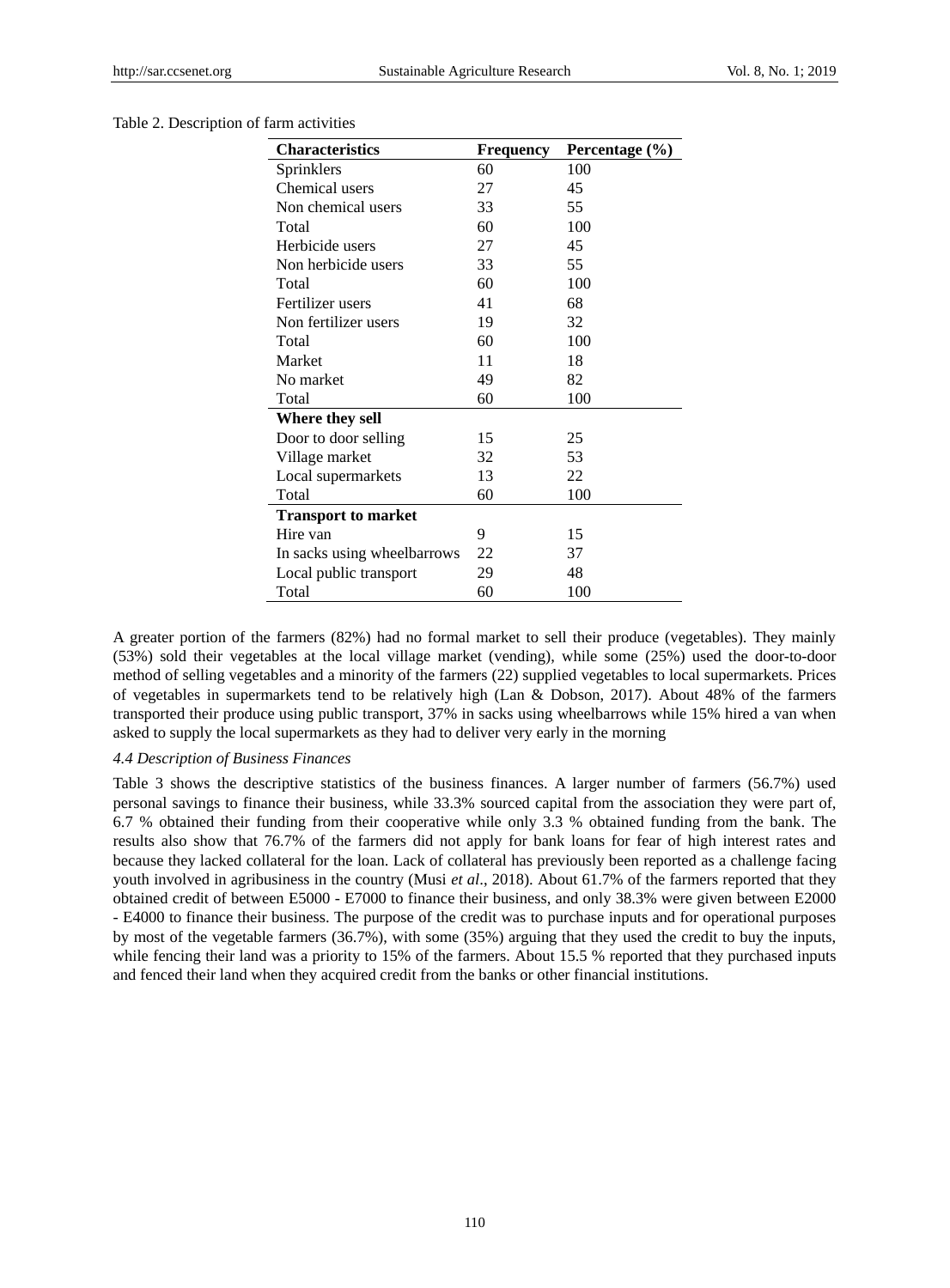# Table 2. Description of farm activities

| <b>Characteristics</b>      | Frequency | Percentage $(\% )$ |
|-----------------------------|-----------|--------------------|
| Sprinklers                  | 60        | 100                |
| Chemical users              | 27        | 45                 |
| Non chemical users          | 33        | 55                 |
| Total                       | 60        | 100                |
| Herbicide users             | 27        | 45                 |
| Non herbicide users         | 33        | 55                 |
| Total                       | 60        | 100                |
| Fertilizer users            | 41        | 68                 |
| Non fertilizer users        | 19        | 32                 |
| Total                       | 60        | 100                |
| Market                      | 11        | 18                 |
| No market                   | 49        | 82                 |
| Total                       | 60        | 100                |
| Where they sell             |           |                    |
| Door to door selling        | 15        | 25                 |
| Village market              | 32        | 53                 |
| Local supermarkets          | 13        | 22                 |
| Total                       | 60        | 100                |
| <b>Transport to market</b>  |           |                    |
| Hire van                    | 9         | 15                 |
| In sacks using wheelbarrows | 22        | 37                 |
| Local public transport      | 29        | 48                 |
| Total                       | 60        | 100                |

A greater portion of the farmers (82%) had no formal market to sell their produce (vegetables). They mainly (53%) sold their vegetables at the local village market (vending), while some (25%) used the door-to-door method of selling vegetables and a minority of the farmers (22) supplied vegetables to local supermarkets. Prices of vegetables in supermarkets tend to be relatively high (Lan & Dobson, 2017). About 48% of the farmers transported their produce using public transport, 37% in sacks using wheelbarrows while 15% hired a van when asked to supply the local supermarkets as they had to deliver very early in the morning

#### *4.4 Description of Business Finances*

Table 3 shows the descriptive statistics of the business finances. A larger number of farmers (56.7%) used personal savings to finance their business, while 33.3% sourced capital from the association they were part of, 6.7 % obtained their funding from their cooperative while only 3.3 % obtained funding from the bank. The results also show that 76.7% of the farmers did not apply for bank loans for fear of high interest rates and because they lacked collateral for the loan. Lack of collateral has previously been reported as a challenge facing youth involved in agribusiness in the country (Musi *et al*., 2018). About 61.7% of the farmers reported that they obtained credit of between E5000 - E7000 to finance their business, and only 38.3% were given between E2000 - E4000 to finance their business. The purpose of the credit was to purchase inputs and for operational purposes by most of the vegetable farmers (36.7%), with some (35%) arguing that they used the credit to buy the inputs, while fencing their land was a priority to 15% of the farmers. About 15.5 % reported that they purchased inputs and fenced their land when they acquired credit from the banks or other financial institutions.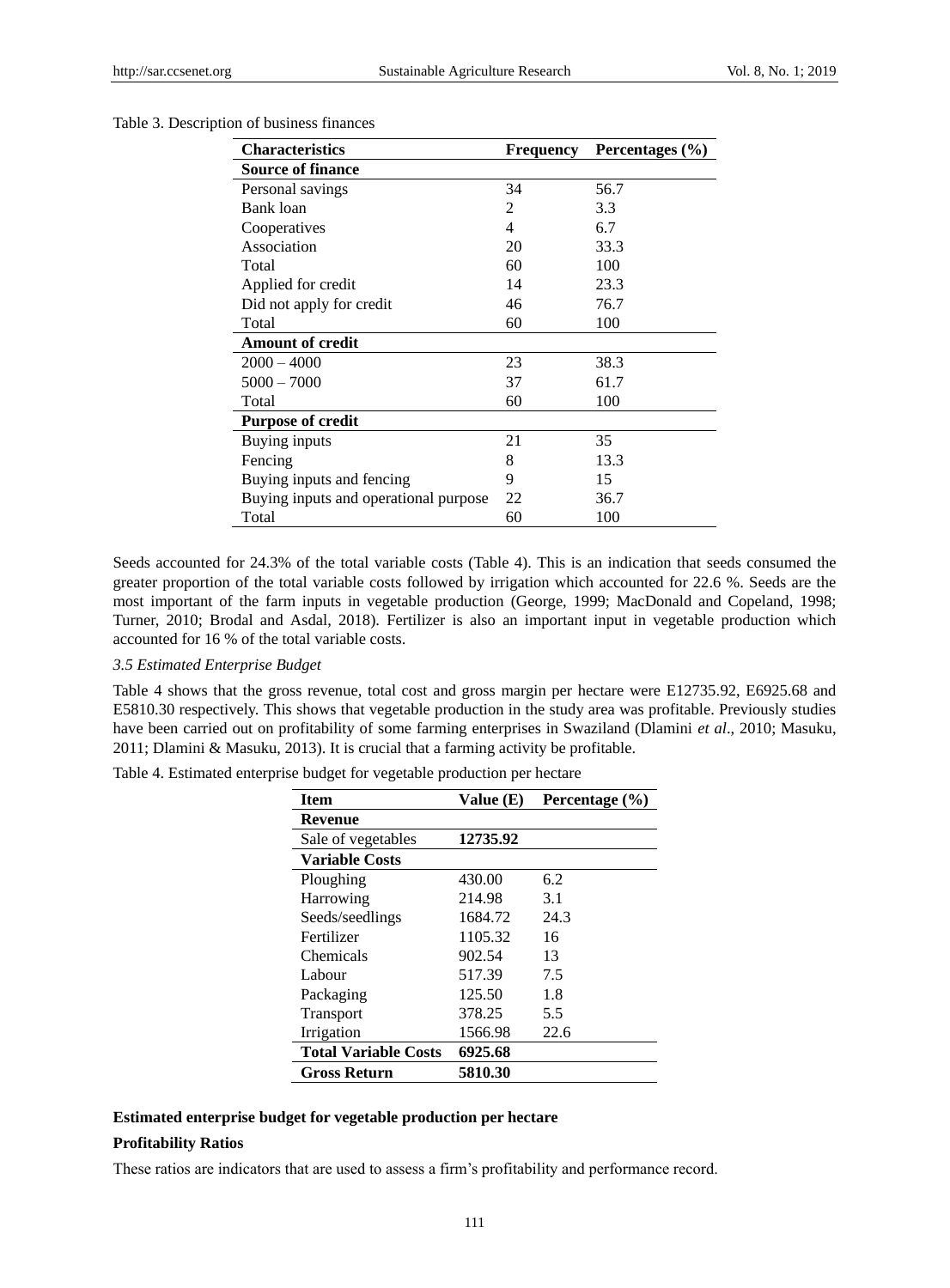| <b>Characteristics</b>                | Frequency | Percentages (%) |
|---------------------------------------|-----------|-----------------|
| <b>Source of finance</b>              |           |                 |
| Personal savings                      | 34        | 56.7            |
| Bank loan                             | 2         | 3.3             |
| Cooperatives                          | 4         | 6.7             |
| Association                           | 20        | 33.3            |
| Total                                 | 60        | 100             |
| Applied for credit                    | 14        | 23.3            |
| Did not apply for credit              | 46        | 76.7            |
| Total                                 | 60        | 100             |
| <b>Amount of credit</b>               |           |                 |
| $2000 - 4000$                         | 23        | 38.3            |
| $5000 - 7000$                         | 37        | 61.7            |
| Total                                 | 60        | 100             |
| <b>Purpose of credit</b>              |           |                 |
| Buying inputs                         | 21        | 35              |
| Fencing                               | 8         | 13.3            |
| Buying inputs and fencing             | 9         | 15              |
| Buying inputs and operational purpose | 22        | 36.7            |
| Total                                 | 60        | 100             |

#### Table 3. Description of business finances

Seeds accounted for 24.3% of the total variable costs (Table 4). This is an indication that seeds consumed the greater proportion of the total variable costs followed by irrigation which accounted for 22.6 %. Seeds are the most important of the farm inputs in vegetable production (George, 1999; MacDonald and Copeland, 1998; Turner, 2010; Brodal and Asdal, 2018). Fertilizer is also an important input in vegetable production which accounted for 16 % of the total variable costs.

#### *3.5 Estimated Enterprise Budget*

Table 4 shows that the gross revenue, total cost and gross margin per hectare were E12735.92, E6925.68 and E5810.30 respectively. This shows that vegetable production in the study area was profitable. Previously studies have been carried out on profitability of some farming enterprises in Swaziland (Dlamini *et al*., 2010; Masuku, 2011; Dlamini & Masuku, 2013). It is crucial that a farming activity be profitable.

| Table 4. Estimated enterprise budget for vegetable production per hectare |  |  |  |
|---------------------------------------------------------------------------|--|--|--|
|                                                                           |  |  |  |

| <b>Item</b>                 | Value $(E)$ | Percentage (%) |
|-----------------------------|-------------|----------------|
| <b>Revenue</b>              |             |                |
| Sale of vegetables          | 12735.92    |                |
| <b>Variable Costs</b>       |             |                |
| Ploughing                   | 430.00      | 6.2            |
| Harrowing                   | 214.98      | 3.1            |
| Seeds/seedlings             | 1684.72     | 24.3           |
| Fertilizer                  | 1105.32     | 16             |
| Chemicals                   | 902.54      | 13             |
| Labour                      | 517.39      | 7.5            |
| Packaging                   | 125.50      | 1.8            |
| <b>Transport</b>            | 378.25      | 5.5            |
| Irrigation                  | 1566.98     | 22.6           |
| <b>Total Variable Costs</b> | 6925.68     |                |
| <b>Gross Return</b>         | 5810.30     |                |

# **Estimated enterprise budget for vegetable production per hectare**

# **Profitability Ratios**

These ratios are indicators that are used to assess a firm's profitability and performance record.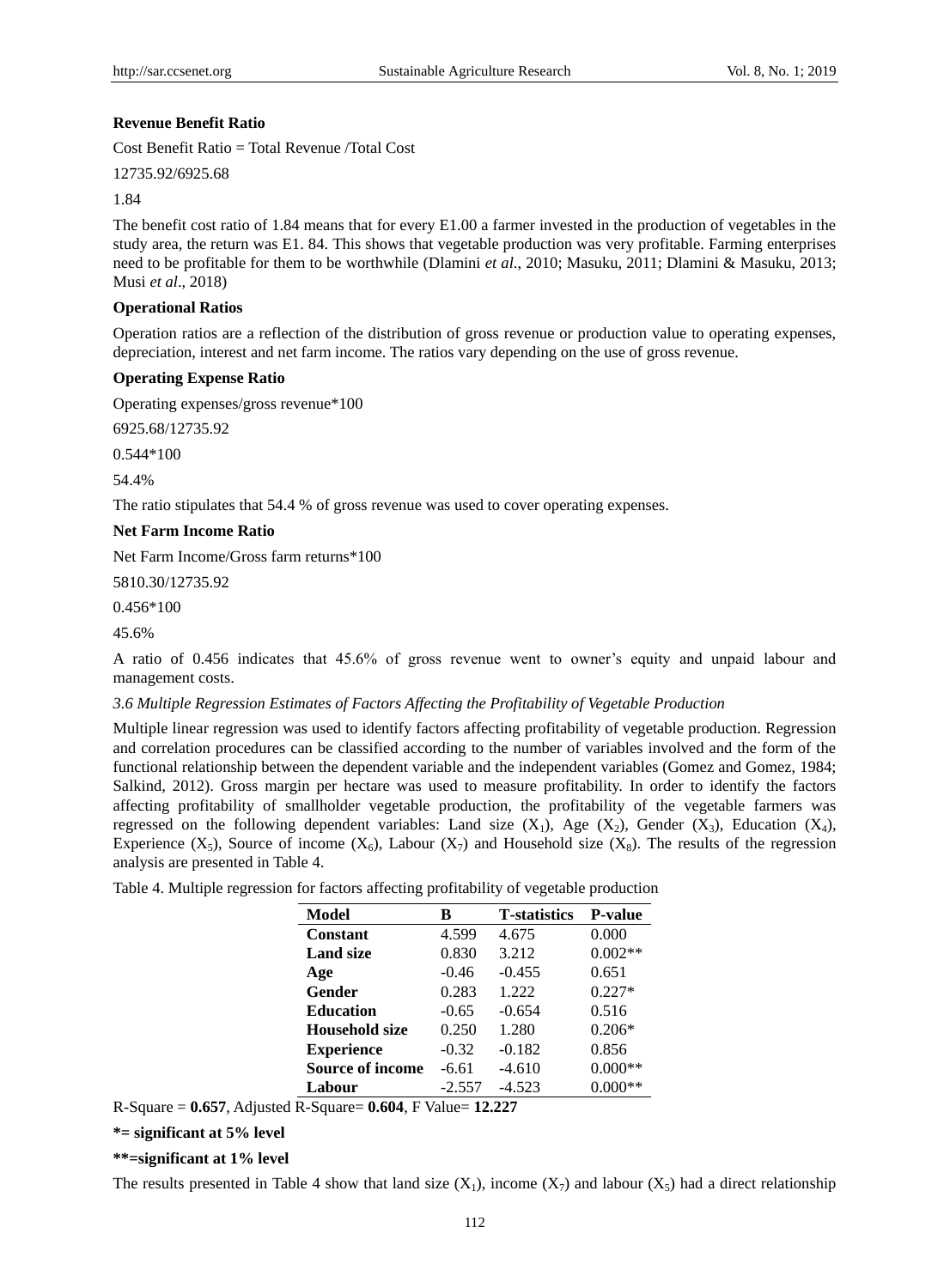#### **Revenue Benefit Ratio**

Cost Benefit Ratio = Total Revenue /Total Cost

12735.92/6925.68

1.84

The benefit cost ratio of 1.84 means that for every E1.00 a farmer invested in the production of vegetables in the study area, the return was E1. 84. This shows that vegetable production was very profitable. Farming enterprises need to be profitable for them to be worthwhile (Dlamini *et al*., 2010; Masuku, 2011; Dlamini & Masuku, 2013; Musi *et al*., 2018)

#### **Operational Ratios**

Operation ratios are a reflection of the distribution of gross revenue or production value to operating expenses, depreciation, interest and net farm income. The ratios vary depending on the use of gross revenue.

#### **Operating Expense Ratio**

Operating expenses/gross revenue\*100

6925.68/12735.92

0.544\*100

54.4%

The ratio stipulates that 54.4 % of gross revenue was used to cover operating expenses.

#### **Net Farm Income Ratio**

Net Farm Income/Gross farm returns\*100

5810.30/12735.92

0.456\*100

45.6%

A ratio of 0.456 indicates that 45.6% of gross revenue went to owner's equity and unpaid labour and management costs.

#### *3.6 Multiple Regression Estimates of Factors Affecting the Profitability of Vegetable Production*

Multiple linear regression was used to identify factors affecting profitability of vegetable production. Regression and correlation procedures can be classified according to the number of variables involved and the form of the functional relationship between the dependent variable and the independent variables (Gomez and Gomez, 1984; Salkind, 2012). Gross margin per hectare was used to measure profitability. In order to identify the factors affecting profitability of smallholder vegetable production, the profitability of the vegetable farmers was regressed on the following dependent variables: Land size  $(X_1)$ , Age  $(X_2)$ , Gender  $(X_3)$ , Education  $(X_4)$ , Experience  $(X_5)$ , Source of income  $(X_6)$ , Labour  $(X_7)$  and Household size  $(X_8)$ . The results of the regression analysis are presented in Table 4.

Table 4. Multiple regression for factors affecting profitability of vegetable production

| Model                   | в        | <b>T</b> -statistics | <b>P-value</b> |
|-------------------------|----------|----------------------|----------------|
| <b>Constant</b>         | 4.599    | 4.675                | 0.000          |
| <b>Land size</b>        | 0.830    | 3.212                | $0.002**$      |
| Age                     | $-0.46$  | $-0.455$             | 0.651          |
| Gender                  | 0.283    | 1.222                | $0.227*$       |
| <b>Education</b>        | $-0.65$  | $-0.654$             | 0.516          |
| Household size          | 0.250    | 1.280                | $0.206*$       |
| <b>Experience</b>       | $-0.32$  | $-0.182$             | 0.856          |
| <b>Source of income</b> | -6.61    | $-4.610$             | $0.000**$      |
| Labour                  | $-2.557$ | $-4.523$             |                |

R-Square = **0.657**, Adjusted R-Square= **0.604**, F Value= **12.227**

**\*= significant at 5% level**

**\*\*=significant at 1% level**

The results presented in Table 4 show that land size  $(X_1)$ , income  $(X_7)$  and labour  $(X_5)$  had a direct relationship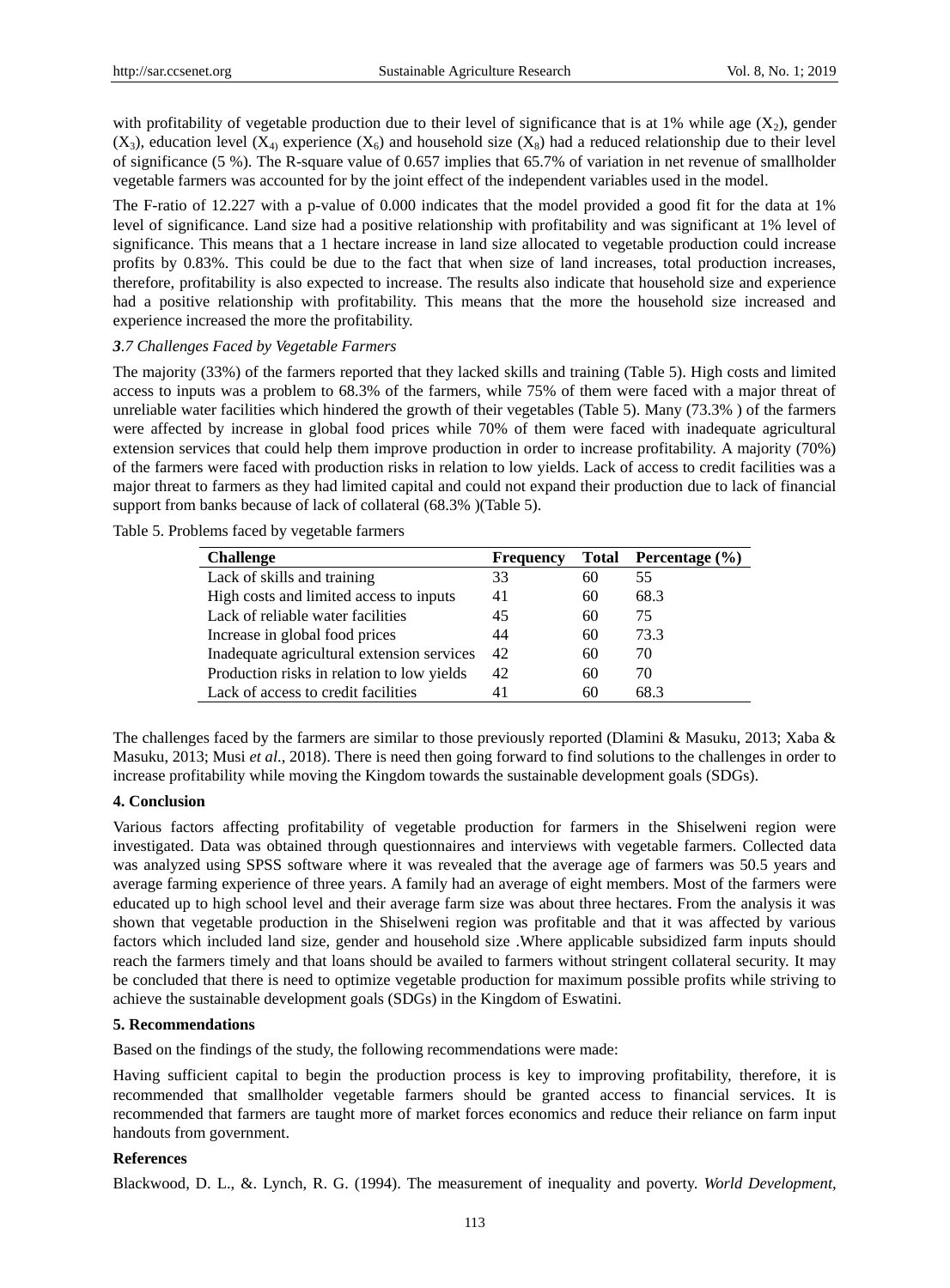with profitability of vegetable production due to their level of significance that is at 1% while age  $(X_2)$ , gender  $(X_3)$ , education level  $(X_4)$  experience  $(X_6)$  and household size  $(X_8)$  had a reduced relationship due to their level of significance (5 %). The R-square value of 0.657 implies that 65.7% of variation in net revenue of smallholder vegetable farmers was accounted for by the joint effect of the independent variables used in the model.

The F-ratio of 12.227 with a p-value of 0.000 indicates that the model provided a good fit for the data at 1% level of significance. Land size had a positive relationship with profitability and was significant at 1% level of significance. This means that a 1 hectare increase in land size allocated to vegetable production could increase profits by 0.83%. This could be due to the fact that when size of land increases, total production increases, therefore, profitability is also expected to increase. The results also indicate that household size and experience had a positive relationship with profitability. This means that the more the household size increased and experience increased the more the profitability.

#### *3.7 Challenges Faced by Vegetable Farmers*

The majority (33%) of the farmers reported that they lacked skills and training (Table 5). High costs and limited access to inputs was a problem to 68.3% of the farmers, while 75% of them were faced with a major threat of unreliable water facilities which hindered the growth of their vegetables (Table 5). Many (73.3% ) of the farmers were affected by increase in global food prices while 70% of them were faced with inadequate agricultural extension services that could help them improve production in order to increase profitability. A majority (70%) of the farmers were faced with production risks in relation to low yields. Lack of access to credit facilities was a major threat to farmers as they had limited capital and could not expand their production due to lack of financial support from banks because of lack of collateral (68.3% )(Table 5).

| <b>Challenge</b>                           | <b>Frequency</b> | Total | Percentage $(\% )$ |
|--------------------------------------------|------------------|-------|--------------------|
| Lack of skills and training                | 33               | 60    | 55                 |
| High costs and limited access to inputs    | 41               | 60    | 68.3               |
| Lack of reliable water facilities          | 45               | 60    | 75                 |
| Increase in global food prices             | 44               | 60    | 73.3               |
| Inadequate agricultural extension services | 42               | 60    | 70                 |
| Production risks in relation to low yields | 42               | 60    | 70                 |
| Lack of access to credit facilities        | 41               | 60    | 68.3               |

The challenges faced by the farmers are similar to those previously reported (Dlamini & Masuku, 2013; Xaba & Masuku, 2013; Musi *et al*., 2018). There is need then going forward to find solutions to the challenges in order to increase profitability while moving the Kingdom towards the sustainable development goals (SDGs).

# **4. Conclusion**

Various factors affecting profitability of vegetable production for farmers in the Shiselweni region were investigated. Data was obtained through questionnaires and interviews with vegetable farmers. Collected data was analyzed using SPSS software where it was revealed that the average age of farmers was 50.5 years and average farming experience of three years. A family had an average of eight members. Most of the farmers were educated up to high school level and their average farm size was about three hectares. From the analysis it was shown that vegetable production in the Shiselweni region was profitable and that it was affected by various factors which included land size, gender and household size .Where applicable subsidized farm inputs should reach the farmers timely and that loans should be availed to farmers without stringent collateral security. It may be concluded that there is need to optimize vegetable production for maximum possible profits while striving to achieve the sustainable development goals (SDGs) in the Kingdom of Eswatini.

#### **5. Recommendations**

Based on the findings of the study, the following recommendations were made:

Having sufficient capital to begin the production process is key to improving profitability, therefore, it is recommended that smallholder vegetable farmers should be granted access to financial services. It is recommended that farmers are taught more of market forces economics and reduce their reliance on farm input handouts from government.

### **References**

Blackwood, D. L., &. Lynch, R. G. (1994). The measurement of inequality and poverty. *World Development,*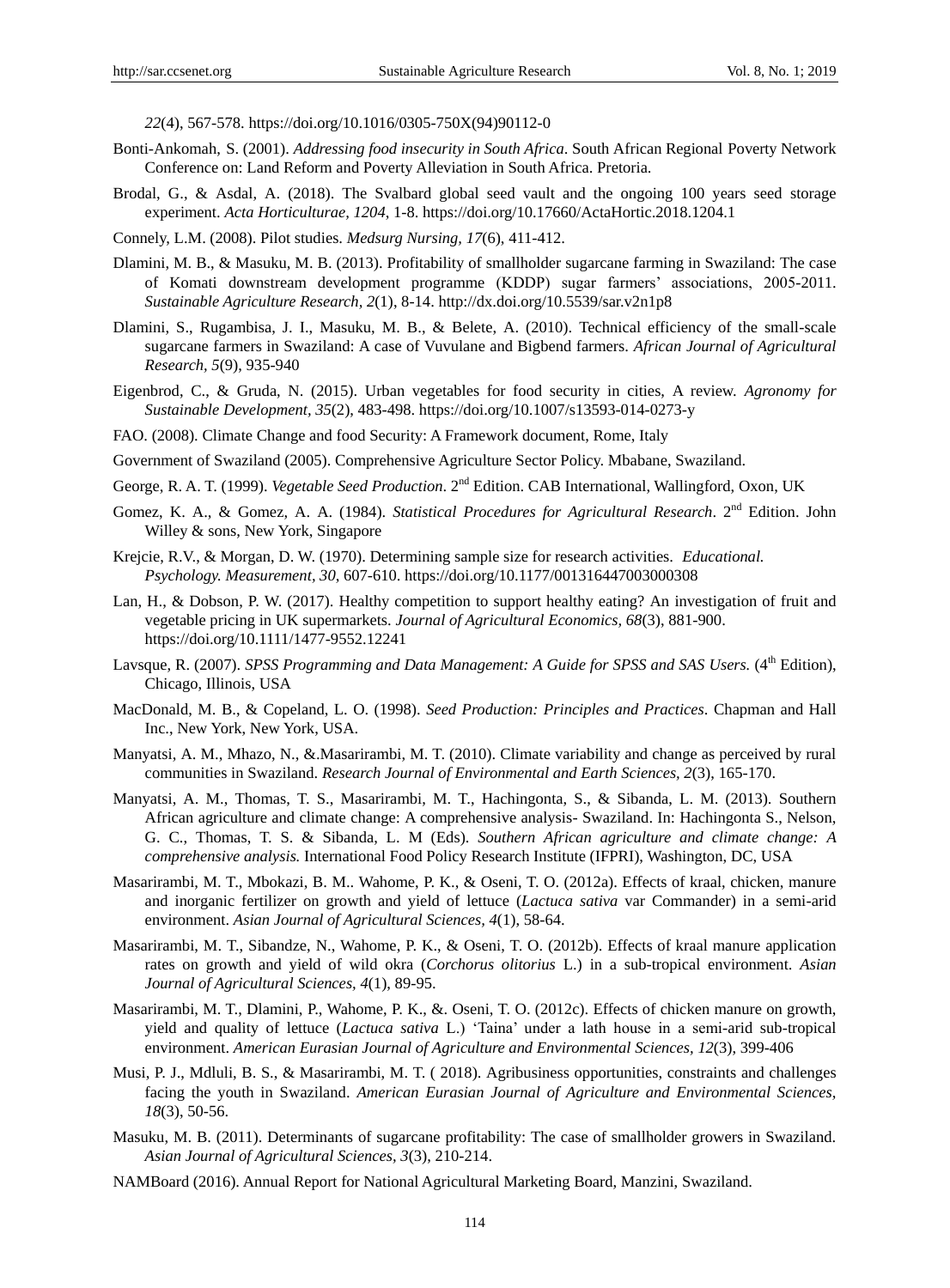*22*(4), 567-578. https://doi.org/10.1016/0305-750X(94)90112-0

- Bonti-Ankomah, S. (2001). *Addressing food insecurity in South Africa*. South African Regional Poverty Network Conference on: Land Reform and Poverty Alleviation in South Africa. Pretoria.
- Brodal, G., & Asdal, A. (2018). The Svalbard global seed vault and the ongoing 100 years seed storage experiment. *Acta Horticulturae, 1204*, 1-8. https://doi.org/10.17660/ActaHortic.2018.1204.1
- Connely, L.M. (2008). Pilot studies. *Medsurg Nursing, 17*(6), 411-412.
- Dlamini, M. B., & Masuku, M. B. (2013). Profitability of smallholder sugarcane farming in Swaziland: The case of Komati downstream development programme (KDDP) sugar farmers' associations, 2005-2011. *Sustainable Agriculture Research, 2*(1), 8-14. http://dx.doi.org/10.5539/sar.v2n1p8
- Dlamini, S., Rugambisa, J. I., Masuku, M. B., & Belete, A. (2010). Technical efficiency of the small-scale sugarcane farmers in Swaziland: A case of Vuvulane and Bigbend farmers. *African Journal of Agricultural Research, 5*(9), 935-940
- Eigenbrod, C., & Gruda, N. (2015). Urban vegetables for food security in cities, A review. *Agronomy for Sustainable Development, 35*(2), 483-498. https://doi.org/10.1007/s13593-014-0273-y
- FAO. (2008). Climate Change and food Security: A Framework document, Rome, Italy
- Government of Swaziland (2005). Comprehensive Agriculture Sector Policy. Mbabane, Swaziland.
- George, R. A. T. (1999). *Vegetable Seed Production*. 2nd Edition. CAB International, Wallingford, Oxon, UK
- Gomez, K. A., & Gomez, A. A. (1984). *Statistical Procedures for Agricultural Research*. 2nd Edition. John Willey & sons, New York, Singapore
- Krejcie, R.V., & Morgan, D. W. (1970). Determining sample size for research activities. *Educational. Psychology. Measurement, 30*, 607-610. https://doi.org/10.1177/001316447003000308
- Lan, H., & Dobson, P. W. (2017). Healthy competition to support healthy eating? An investigation of fruit and vegetable pricing in UK supermarkets. *Journal of Agricultural Economics, 68*(3), 881-900. https://doi.org/10.1111/1477-9552.12241
- Lavsque, R. (2007). *SPSS Programming and Data Management: A Guide for SPSS and SAS Users.* (4<sup>th</sup> Edition), Chicago, Illinois, USA
- MacDonald, M. B., & Copeland, L. O. (1998). *Seed Production: Principles and Practices*. Chapman and Hall Inc., New York, New York, USA.
- Manyatsi, A. M., Mhazo, N., &.Masarirambi, M. T. (2010). Climate variability and change as perceived by rural communities in Swaziland. *Research Journal of Environmental and Earth Sciences, 2*(3), 165-170.
- Manyatsi, A. M., Thomas, T. S., Masarirambi, M. T., Hachingonta, S., & Sibanda, L. M. (2013). Southern African agriculture and climate change: A comprehensive analysis- Swaziland. In: Hachingonta S., Nelson, G. C., Thomas, T. S. & Sibanda, L. M (Eds). *Southern African agriculture and climate change: A comprehensive analysis.* International Food Policy Research Institute (IFPRI), Washington, DC, USA
- Masarirambi, M. T., Mbokazi, B. M.. Wahome, P. K., & Oseni, T. O. (2012a). Effects of kraal, chicken, manure and inorganic fertilizer on growth and yield of lettuce (*Lactuca sativa* var Commander) in a semi-arid environment. *Asian Journal of Agricultural Sciences, 4*(1), 58-64.
- Masarirambi, M. T., Sibandze, N., Wahome, P. K., & Oseni, T. O. (2012b). Effects of kraal manure application rates on growth and yield of wild okra (*Corchorus olitorius* L.) in a sub-tropical environment. *Asian Journal of Agricultural Sciences, 4*(1), 89-95.
- Masarirambi, M. T., Dlamini, P., Wahome, P. K., &. Oseni, T. O. (2012c). Effects of chicken manure on growth, yield and quality of lettuce (*Lactuca sativa* L.) 'Taina' under a lath house in a semi-arid sub-tropical environment. *American Eurasian Journal of Agriculture and Environmental Sciences, 12*(3), 399-406
- Musi, P. J., Mdluli, B. S., & Masarirambi, M. T. ( 2018). Agribusiness opportunities, constraints and challenges facing the youth in Swaziland. *American Eurasian Journal of Agriculture and Environmental Sciences, 18*(3), 50-56.
- Masuku, M. B. (2011). Determinants of sugarcane profitability: The case of smallholder growers in Swaziland. *Asian Journal of Agricultural Sciences, 3*(3), 210-214.
- NAMBoard (2016). Annual Report for National Agricultural Marketing Board, Manzini, Swaziland.